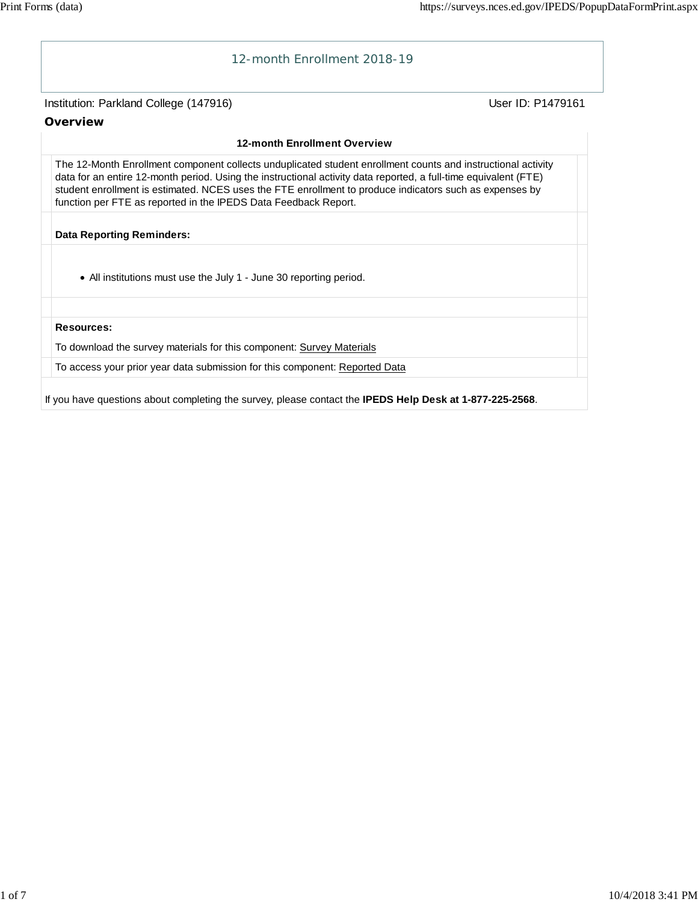

If you have questions about completing the survey, please contact the **IPEDS Help Desk at 1-877-225-2568**.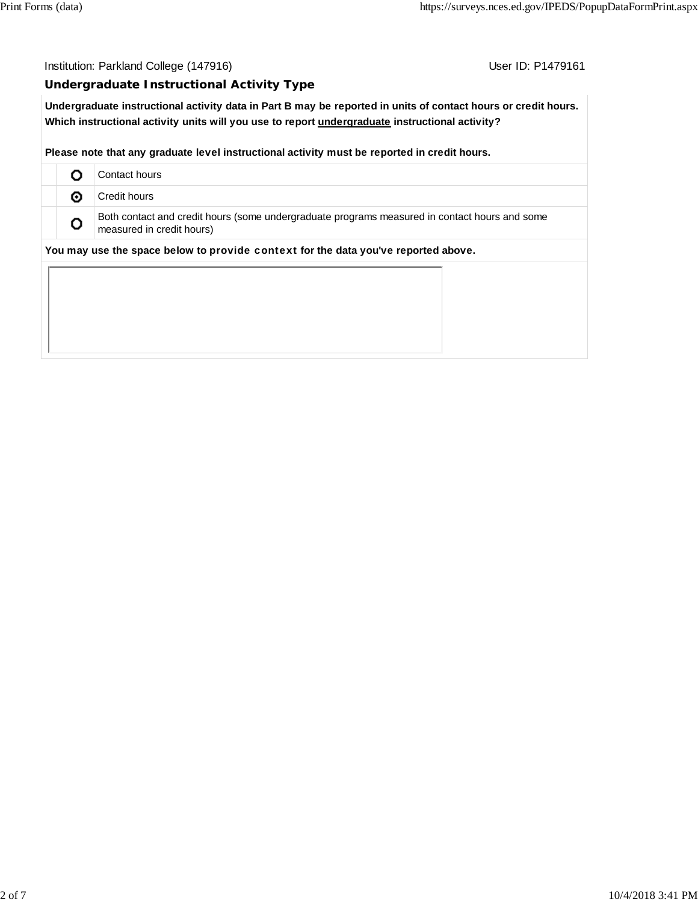Institution: Parkland College (147916) Contact College (147916)

## **Undergraduate Instructional Activity Type**

**Undergraduate instructional activity data in Part B may be reported in units of contact hours or credit hours. Which instructional activity units will you use to report undergraduate instructional activity?**

**Please note that any graduate level instructional activity must be reported in credit hours.**

|   | Contact hours                                                                                                              |
|---|----------------------------------------------------------------------------------------------------------------------------|
| ⊙ | Credit hours                                                                                                               |
| o | Both contact and credit hours (some undergraduate programs measured in contact hours and some<br>measured in credit hours) |
|   | You may use the space below to provide context for the data you've reported above.                                         |
|   |                                                                                                                            |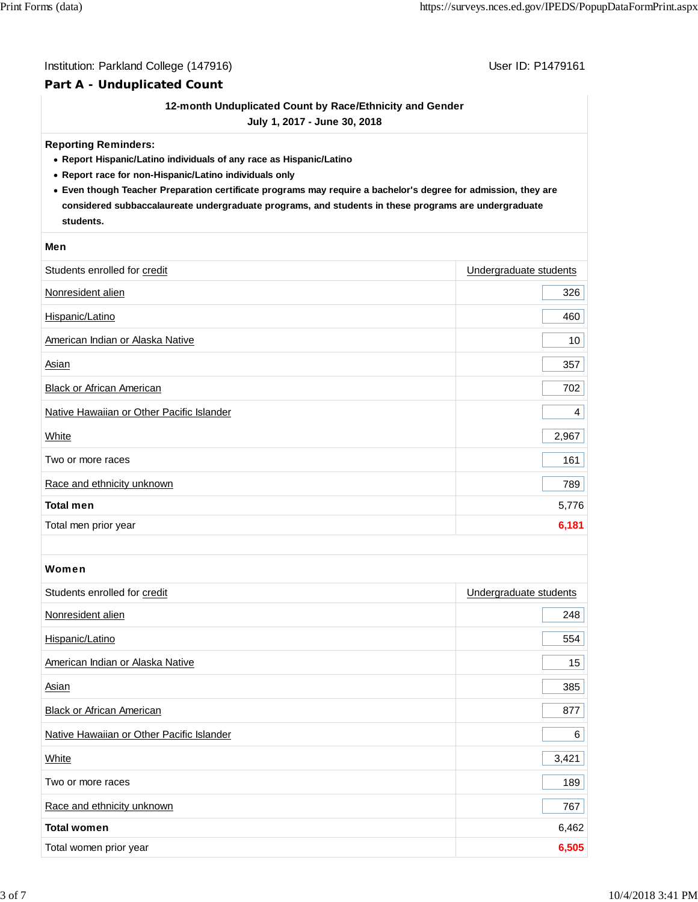## Institution: Parkland College (147916) Contract College (147916)

# **Part A - Unduplicated Count**

# **12-month Unduplicated Count by Race/Ethnicity and Gender**

**July 1, 2017 - June 30, 2018**

#### **Reporting Reminders:**

- **Report Hispanic/Latino individuals of any race as Hispanic/Latino**
- **Report race for non-Hispanic/Latino individuals only**
- **Even though Teacher Preparation certificate programs may require a bachelor's degree for admission, they are considered subbaccalaureate undergraduate programs, and students in these programs are undergraduate students.**

#### **Men**

| Students enrolled for credit              | Undergraduate students |
|-------------------------------------------|------------------------|
| Nonresident alien                         | 326                    |
| Hispanic/Latino                           | 460                    |
| American Indian or Alaska Native          | 10 <sup>°</sup>        |
| Asian                                     | 357                    |
| Black or African American                 | 702                    |
| Native Hawaiian or Other Pacific Islander | 4                      |
| White                                     | 2,967                  |
| Two or more races                         | 161                    |
| Race and ethnicity unknown                | 789                    |
| <b>Total men</b>                          | 5,776                  |
| Total men prior year                      | 6,181                  |

## Women

| Students enrolled for credit              | Undergraduate students |
|-------------------------------------------|------------------------|
| Nonresident alien                         | 248                    |
| Hispanic/Latino                           | 554                    |
| American Indian or Alaska Native          | 15 <sub>15</sub>       |
| Asian                                     | 385                    |
| <b>Black or African American</b>          | 877                    |
| Native Hawaiian or Other Pacific Islander | 6                      |
| White                                     | 3,421                  |
| Two or more races                         | 189                    |
| Race and ethnicity unknown                | 767                    |
| <b>Total women</b>                        | 6,462                  |
| Total women prior year                    | 6,505                  |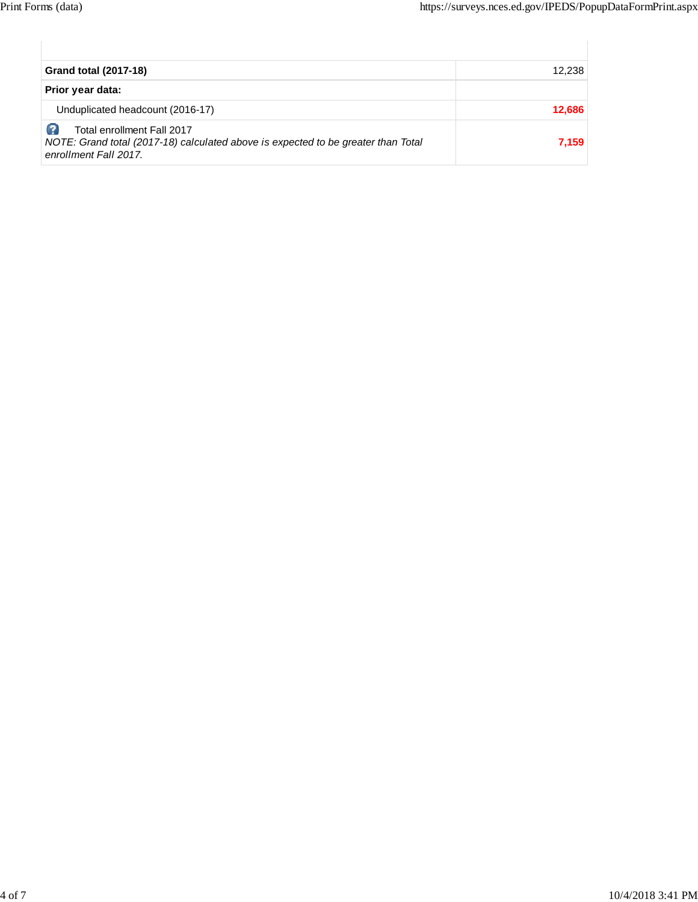| <b>Grand total (2017-18)</b>                                                                                                            | 12,238 |
|-----------------------------------------------------------------------------------------------------------------------------------------|--------|
| Prior year data:                                                                                                                        |        |
| Unduplicated headcount (2016-17)                                                                                                        | 12,686 |
| Total enrollment Fall 2017<br>NOTE: Grand total (2017-18) calculated above is expected to be greater than Total<br>enrollment Fall 2017 | 7,159  |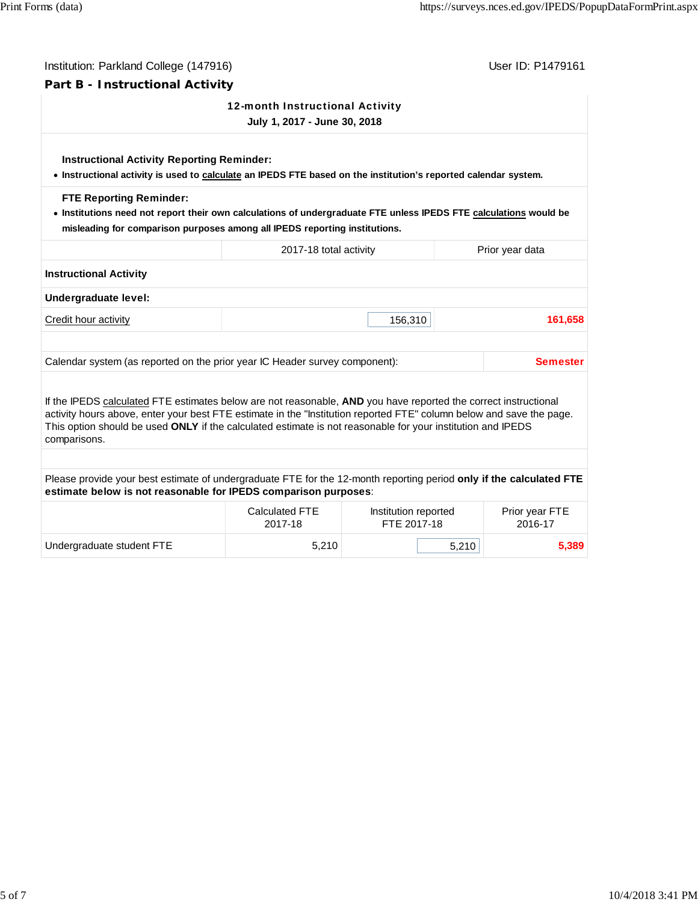| Institution: Parkland College (147916)<br>User ID: P1479161                                                                                                                                                                                                                                                                                            |                                     |                                                                                                                                               |                                                                                                                                                                                                                                                 |
|--------------------------------------------------------------------------------------------------------------------------------------------------------------------------------------------------------------------------------------------------------------------------------------------------------------------------------------------------------|-------------------------------------|-----------------------------------------------------------------------------------------------------------------------------------------------|-------------------------------------------------------------------------------------------------------------------------------------------------------------------------------------------------------------------------------------------------|
| Part B - Instructional Activity                                                                                                                                                                                                                                                                                                                        |                                     |                                                                                                                                               |                                                                                                                                                                                                                                                 |
|                                                                                                                                                                                                                                                                                                                                                        |                                     |                                                                                                                                               |                                                                                                                                                                                                                                                 |
| <b>Instructional Activity Reporting Reminder:</b>                                                                                                                                                                                                                                                                                                      |                                     |                                                                                                                                               |                                                                                                                                                                                                                                                 |
|                                                                                                                                                                                                                                                                                                                                                        |                                     |                                                                                                                                               |                                                                                                                                                                                                                                                 |
| 2017-18 total activity                                                                                                                                                                                                                                                                                                                                 |                                     |                                                                                                                                               | Prior year data                                                                                                                                                                                                                                 |
|                                                                                                                                                                                                                                                                                                                                                        |                                     |                                                                                                                                               |                                                                                                                                                                                                                                                 |
|                                                                                                                                                                                                                                                                                                                                                        |                                     |                                                                                                                                               |                                                                                                                                                                                                                                                 |
|                                                                                                                                                                                                                                                                                                                                                        |                                     |                                                                                                                                               | 161,658                                                                                                                                                                                                                                         |
|                                                                                                                                                                                                                                                                                                                                                        |                                     |                                                                                                                                               |                                                                                                                                                                                                                                                 |
|                                                                                                                                                                                                                                                                                                                                                        |                                     |                                                                                                                                               |                                                                                                                                                                                                                                                 |
| Calendar system (as reported on the prior year IC Header survey component):                                                                                                                                                                                                                                                                            |                                     |                                                                                                                                               | <b>Semester</b>                                                                                                                                                                                                                                 |
| If the IPEDS calculated FTE estimates below are not reasonable, AND you have reported the correct instructional<br>activity hours above, enter your best FTE estimate in the "Institution reported FTE" column below and save the page.<br>This option should be used ONLY if the calculated estimate is not reasonable for your institution and IPEDS |                                     |                                                                                                                                               |                                                                                                                                                                                                                                                 |
|                                                                                                                                                                                                                                                                                                                                                        |                                     |                                                                                                                                               |                                                                                                                                                                                                                                                 |
| Please provide your best estimate of undergraduate FTE for the 12-month reporting period only if the calculated FTE<br>estimate below is not reasonable for IPEDS comparison purposes:                                                                                                                                                                 |                                     |                                                                                                                                               |                                                                                                                                                                                                                                                 |
| <b>Calculated FTE</b><br>2017-18                                                                                                                                                                                                                                                                                                                       | Institution reported<br>FTE 2017-18 |                                                                                                                                               | Prior year FTE<br>2016-17                                                                                                                                                                                                                       |
|                                                                                                                                                                                                                                                                                                                                                        |                                     | 12-month Instructional Activity<br>July 1, 2017 - June 30, 2018<br>misleading for comparison purposes among all IPEDS reporting institutions. | • Instructional activity is used to calculate an IPEDS FTE based on the institution's reported calendar system.<br>. Institutions need not report their own calculations of undergraduate FTE unless IPEDS FTE calculations would be<br>156,310 |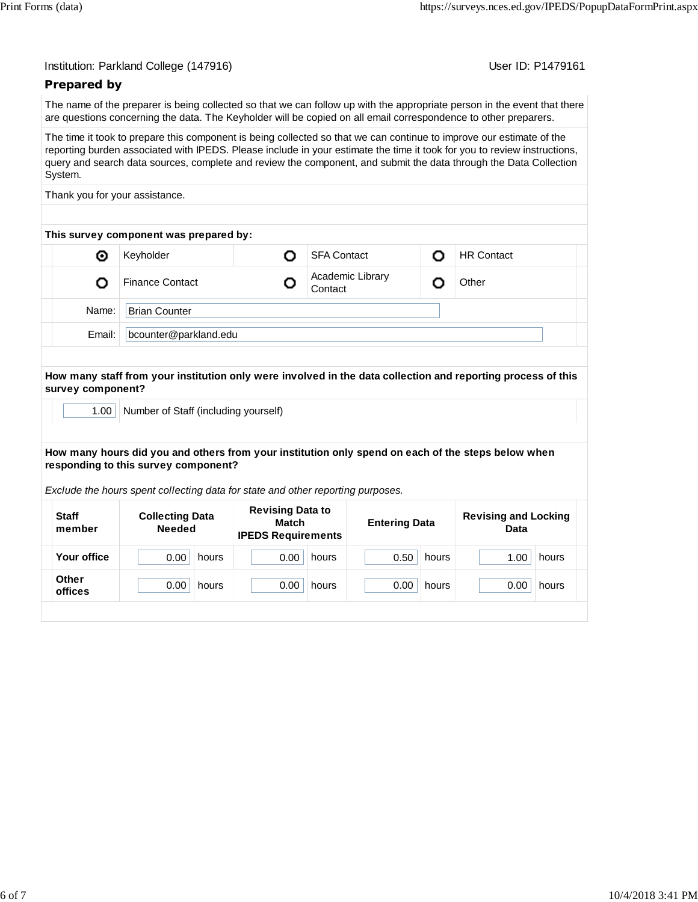User ID: P1479161

## **Prepared by**

The name of the preparer is being collected so that we can follow up with the appropriate person in the event that there are questions concerning the data. The Keyholder will be copied on all email correspondence to other preparers.

The time it took to prepare this component is being collected so that we can continue to improve our estimate of the reporting burden associated with IPEDS. Please include in your estimate the time it took for you to review instructions, query and search data sources, complete and review the component, and submit the data through the Data Collection System.

Thank you for your assistance.

| This survey component was prepared by: |                        |  |                             |  |                   |  |  |
|----------------------------------------|------------------------|--|-----------------------------|--|-------------------|--|--|
| ◉                                      | Keyholder              |  | <b>SFA Contact</b>          |  | <b>HR Contact</b> |  |  |
|                                        | <b>Finance Contact</b> |  | Academic Library<br>Contact |  | Other             |  |  |
| Name:                                  | <b>Brian Counter</b>   |  |                             |  |                   |  |  |
| Email:                                 | bcounter@parkland.edu  |  |                             |  |                   |  |  |

#### **How many staff from your institution only were involved in the data collection and reporting process of this survey component?**

1.00 | Number of Staff (including yourself)

#### **How many hours did you and others from your institution only spend on each of the steps below when responding to this survey component?**

*Exclude the hours spent collecting data for state and other reporting purposes.*

| <b>Staff</b><br>member | <b>Collecting Data</b><br><b>Needed</b> | <b>Revising Data to</b><br>Match<br><b>IPEDS Requirements</b> | <b>Entering Data</b> | <b>Revising and Locking</b><br>Data |  |
|------------------------|-----------------------------------------|---------------------------------------------------------------|----------------------|-------------------------------------|--|
| Your office            | 0.00                                    | 0.00                                                          | 0.50                 | 1.00                                |  |
|                        | hours                                   | hours                                                         | hours                | hours                               |  |
| <b>Other</b>           | 0.00                                    | 0.00                                                          | 0.00                 | 0.00                                |  |
| offices                | hours                                   | hours                                                         | hours                | hours                               |  |
|                        |                                         |                                                               |                      |                                     |  |